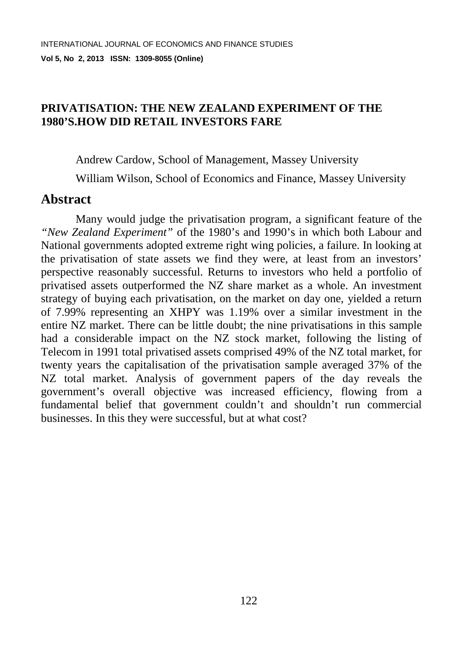## **PRIVATISATION: THE NEW ZEALAND EXPERIMENT OF THE 1980'S.HOW DID RETAIL INVESTORS FARE**

Andrew Cardow, School of Management, Massey University

William Wilson, School of Economics and Finance, Massey University

## **Abstract**

Many would judge the privatisation program, a significant feature of the *"New Zealand Experiment"* of the 1980's and 1990's in which both Labour and National governments adopted extreme right wing policies, a failure. In looking at the privatisation of state assets we find they were, at least from an investors' perspective reasonably successful. Returns to investors who held a portfolio of privatised assets outperformed the NZ share market as a whole. An investment strategy of buying each privatisation, on the market on day one, yielded a return of 7.99% representing an XHPY was 1.19% over a similar investment in the entire NZ market. There can be little doubt; the nine privatisations in this sample had a considerable impact on the NZ stock market, following the listing of Telecom in 1991 total privatised assets comprised 49% of the NZ total market, for twenty years the capitalisation of the privatisation sample averaged 37% of the NZ total market. Analysis of government papers of the day reveals the government's overall objective was increased efficiency, flowing from a fundamental belief that government couldn't and shouldn't run commercial businesses. In this they were successful, but at what cost?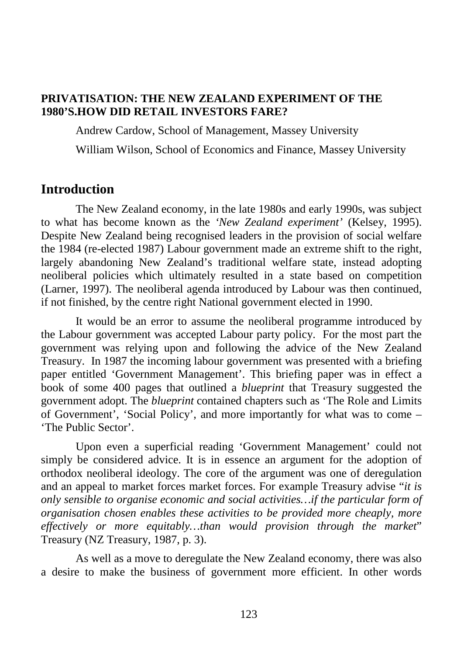## **PRIVATISATION: THE NEW ZEALAND EXPERIMENT OF THE 1980'S.HOW DID RETAIL INVESTORS FARE?**

Andrew Cardow, School of Management, Massey University

William Wilson, School of Economics and Finance, Massey University

## **Introduction**

The New Zealand economy, in the late 1980s and early 1990s, was subject to what has become known as the *'New Zealand experiment'* [\(Kelsey, 1995\)](#page-11-0). Despite New Zealand being recognised leaders in the provision of social welfare the 1984 (re-elected 1987) Labour government made an extreme shift to the right, largely abandoning New Zealand's traditional welfare state, instead adopting neoliberal policies which ultimately resulted in a state based on competition [\(Larner, 1997\)](#page-11-1). The neoliberal agenda introduced by Labour was then continued, if not finished, by the centre right National government elected in 1990.

It would be an error to assume the neoliberal programme introduced by the Labour government was accepted Labour party policy. For the most part the government was relying upon and following the advice of the New Zealand Treasury. In 1987 the incoming labour government was presented with a briefing paper entitled 'Government Management'. This briefing paper was in effect a book of some 400 pages that outlined a *blueprint* that Treasury suggested the government adopt. The *blueprint* contained chapters such as 'The Role and Limits of Government', 'Social Policy', and more importantly for what was to come – 'The Public Sector'.

Upon even a superficial reading 'Government Management' could not simply be considered advice. It is in essence an argument for the adoption of orthodox neoliberal ideology. The core of the argument was one of deregulation and an appeal to market forces market forces. For example Treasury advise "*it is only sensible to organise economic and social activities…if the particular form of organisation chosen enables these activities to be provided more cheaply, more effectively or more equitably…than would provision through the market*" Treasury [\(NZ Treasury, 1987, p. 3\)](#page-11-2).

As well as a move to deregulate the New Zealand economy, there was also a desire to make the business of government more efficient. In other words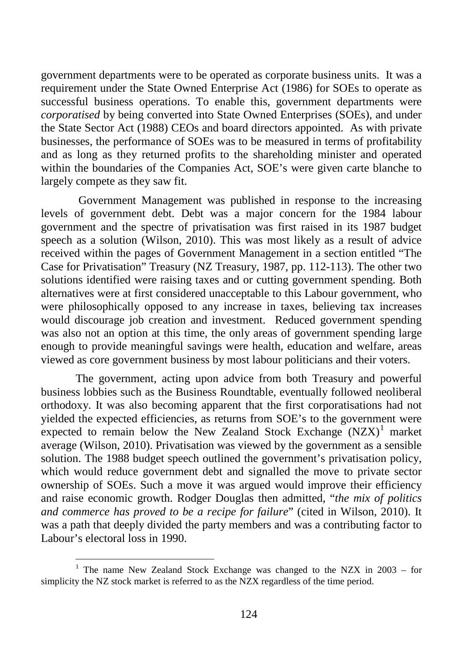government departments were to be operated as corporate business units. It was a requirement under the State Owned Enterprise Act (1986) for SOEs to operate as successful business operations. To enable this, government departments were *corporatised* by being converted into State Owned Enterprises (SOEs), and under the State Sector Act (1988) CEOs and board directors appointed. As with private businesses, the performance of SOEs was to be measured in terms of profitability and as long as they returned profits to the shareholding minister and operated within the boundaries of the Companies Act, SOE's were given carte blanche to largely compete as they saw fit.

Government Management was published in response to the increasing levels of government debt. Debt was a major concern for the 1984 labour government and the spectre of privatisation was first raised in its 1987 budget speech as a solution [\(Wilson, 2010\)](#page-12-0). This was most likely as a result of advice received within the pages of Government Management in a section entitled "The Case for Privatisation" Treasury [\(NZ Treasury, 1987, pp. 112-113\)](#page-11-2). The other two solutions identified were raising taxes and or cutting government spending. Both alternatives were at first considered unacceptable to this Labour government, who were philosophically opposed to any increase in taxes, believing tax increases would discourage job creation and investment. Reduced government spending was also not an option at this time, the only areas of government spending large enough to provide meaningful savings were health, education and welfare, areas viewed as core government business by most labour politicians and their voters.

The government, acting upon advice from both Treasury and powerful business lobbies such as the Business Roundtable, eventually followed neoliberal orthodoxy. It was also becoming apparent that the first corporatisations had not yielded the expected efficiencies, as returns from SOE's to the government were expected to remain below the New Zealand Stock Exchange  $(NZX)^1$  $(NZX)^1$  market average [\(Wilson, 2010\)](#page-12-0). Privatisation was viewed by the government as a sensible solution. The 1988 budget speech outlined the government's privatisation policy, which would reduce government debt and signalled the move to private sector ownership of SOEs. Such a move it was argued would improve their efficiency and raise economic growth. Rodger Douglas then admitted, "*the mix of politics and commerce has proved to be a recipe for failure*" [\(cited in Wilson, 2010\)](#page-12-0). It was a path that deeply divided the party members and was a contributing factor to Labour's electoral loss in 1990.

<span id="page-2-0"></span><sup>&</sup>lt;sup>1</sup> The name New Zealand Stock Exchange was changed to the NZX in 2003 – for simplicity the NZ stock market is referred to as the NZX regardless of the time period.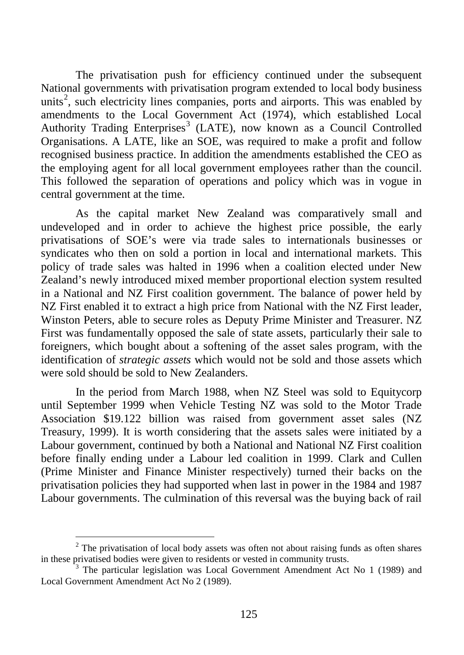The privatisation push for efficiency continued under the subsequent National governments with privatisation program extended to local body business units<sup>[2](#page-3-0)</sup>, such electricity lines companies, ports and airports. This was enabled by amendments to the Local Government Act (1974), which established Local Authority Trading Enterprises<sup>[3](#page-3-0)</sup> (LATE), now known as a Council Controlled Organisations. A LATE, like an SOE, was required to make a profit and follow recognised business practice. In addition the amendments established the CEO as the employing agent for all local government employees rather than the council. This followed the separation of operations and policy which was in vogue in central government at the time.

As the capital market New Zealand was comparatively small and undeveloped and in order to achieve the highest price possible, the early privatisations of SOE's were via trade sales to internationals businesses or syndicates who then on sold a portion in local and international markets. This policy of trade sales was halted in 1996 when a coalition elected under New Zealand's newly introduced mixed member proportional election system resulted in a National and NZ First coalition government. The balance of power held by NZ First enabled it to extract a high price from National with the NZ First leader, Winston Peters, able to secure roles as Deputy Prime Minister and Treasurer. NZ First was fundamentally opposed the sale of state assets, particularly their sale to foreigners, which bought about a softening of the asset sales program, with the identification of *strategic assets* which would not be sold and those assets which were sold should be sold to New Zealanders.

In the period from March 1988, when NZ Steel was sold to Equitycorp until September 1999 when Vehicle Testing NZ was sold to the Motor Trade Association \$19.122 billion was raised from government asset sales [\(NZ](#page-11-3)  [Treasury, 1999\)](#page-11-3). It is worth considering that the assets sales were initiated by a Labour government, continued by both a National and National NZ First coalition before finally ending under a Labour led coalition in 1999. Clark and Cullen (Prime Minister and Finance Minister respectively) turned their backs on the privatisation policies they had supported when last in power in the 1984 and 1987 Labour governments. The culmination of this reversal was the buying back of rail

<span id="page-3-0"></span> $2$  The privatisation of local body assets was often not about raising funds as often shares in these privatised bodies were given to residents or vested in community trusts.<br><sup>3</sup> The particular legislation was Local Government Amendment Act No 1 (1989) and

Local Government Amendment Act No 2 (1989).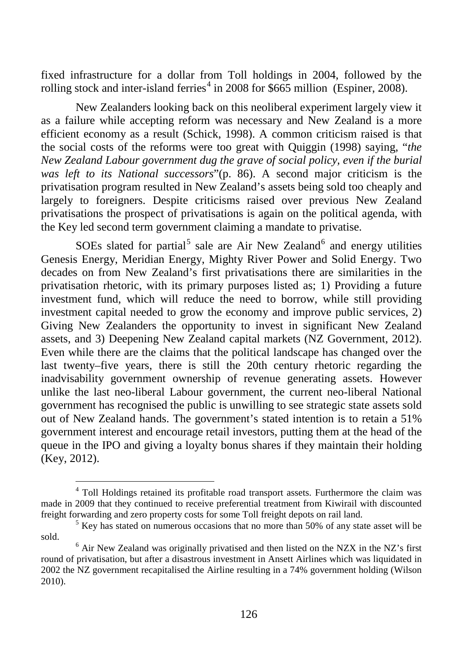fixed infrastructure for a dollar from Toll holdings in 2004, followed by the rolling stock and inter-island ferries<sup>[4](#page-4-0)</sup> in 2008 for \$665 million [\(Espiner, 2008\)](#page-11-4).

New Zealanders looking back on this neoliberal experiment largely view it as a failure while accepting reform was necessary and New Zealand is a more efficient economy as a result [\(Schick, 1998\)](#page-12-1). A common criticism raised is that the social costs of the reforms were too great with Quiggin [\(1998\)](#page-11-5) saying, "*the New Zealand Labour government dug the grave of social policy, even if the burial was left to its National successors*"[\(p. 86\)](#page-11-5). A second major criticism is the privatisation program resulted in New Zealand's assets being sold too cheaply and largely to foreigners. Despite criticisms raised over previous New Zealand privatisations the prospect of privatisations is again on the political agenda, with the Key led second term government claiming a mandate to privatise.

SOEs slated for partial<sup>[5](#page-4-0)</sup> sale are Air New Zealand<sup>[6](#page-4-0)</sup> and energy utilities Genesis Energy, Meridian Energy, Mighty River Power and Solid Energy. Two decades on from New Zealand's first privatisations there are similarities in the privatisation rhetoric, with its primary purposes listed as; 1) Providing a future investment fund, which will reduce the need to borrow, while still providing investment capital needed to grow the economy and improve public services, 2) Giving New Zealanders the opportunity to invest in significant New Zealand assets, and 3) Deepening New Zealand capital markets [\(NZ Government, 2012\)](#page-11-6). Even while there are the claims that the political landscape has changed over the last twenty–five years, there is still the 20th century rhetoric regarding the inadvisability government ownership of revenue generating assets. However unlike the last neo-liberal Labour government, the current neo-liberal National government has recognised the public is unwilling to see strategic state assets sold out of New Zealand hands. The government's stated intention is to retain a 51% government interest and encourage retail investors, putting them at the head of the queue in the IPO and giving a loyalty bonus shares if they maintain their holding [\(Key, 2012\)](#page-11-7).

<span id="page-4-0"></span><sup>&</sup>lt;sup>4</sup> Toll Holdings retained its profitable road transport assets. Furthermore the claim was made in 2009 that they continued to receive preferential treatment from Kiwirail with discounted freight forwarding and zero property costs for some Toll freight depots on rail land.<br><sup>5</sup> Key has stated on numerous occasions that no more than 50% of any state asset will be

sold. <sup>6</sup> Air New Zealand was originally privatised and then listed on the NZX in the NZ's first round of privatisation, but after a disastrous investment in Ansett Airlines which was liquidated in 2002 the NZ government recapitalised the Airline resulting in a 74% government holding (Wilson 2010).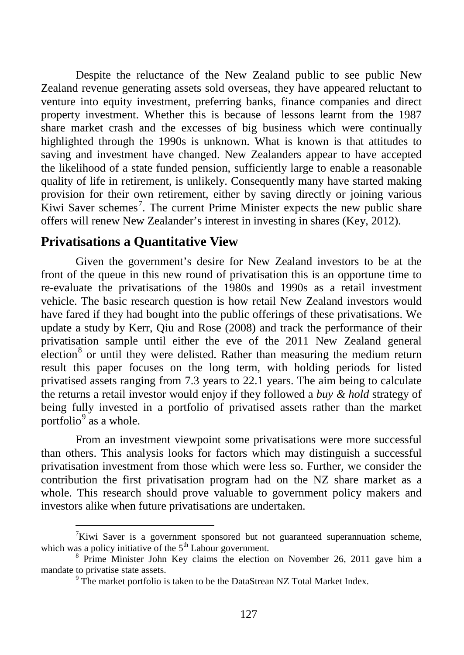Despite the reluctance of the New Zealand public to see public New Zealand revenue generating assets sold overseas, they have appeared reluctant to venture into equity investment, preferring banks, finance companies and direct property investment. Whether this is because of lessons learnt from the 1987 share market crash and the excesses of big business which were continually highlighted through the 1990s is unknown. What is known is that attitudes to saving and investment have changed. New Zealanders appear to have accepted the likelihood of a state funded pension, sufficiently large to enable a reasonable quality of life in retirement, is unlikely. Consequently many have started making provision for their own retirement, either by saving directly or joining various Kiwi Saver schemes<sup>[7](#page-5-0)</sup>. The current Prime Minister expects the new public share offers will renew New Zealander's interest in investing in shares [\(Key, 2012\)](#page-11-7).

# **Privatisations a Quantitative View**

 $\overline{a}$ 

Given the government's desire for New Zealand investors to be at the front of the queue in this new round of privatisation this is an opportune time to re-evaluate the privatisations of the 1980s and 1990s as a retail investment vehicle. The basic research question is how retail New Zealand investors would have fared if they had bought into the public offerings of these privatisations. We update a study by Kerr, Qiu and Rose [\(2008\)](#page-11-8) and track the performance of their privatisation sample until either the eve of the 2011 New Zealand general election<sup>[8](#page-5-0)</sup> or until they were delisted. Rather than measuring the medium return result this paper focuses on the long term, with holding periods for listed privatised assets ranging from 7.3 years to 22.1 years. The aim being to calculate the returns a retail investor would enjoy if they followed a *buy & hold* strategy of being fully invested in a portfolio of privatised assets rather than the market portfolio<sup>[9](#page-5-0)</sup> as a whole.

From an investment viewpoint some privatisations were more successful than others. This analysis looks for factors which may distinguish a successful privatisation investment from those which were less so. Further, we consider the contribution the first privatisation program had on the NZ share market as a whole. This research should prove valuable to government policy makers and investors alike when future privatisations are undertaken.

 ${}^{7}$ Kiwi Saver is a government sponsored but not guaranteed superannuation scheme,

<span id="page-5-0"></span>which was a policy initiative of the  $5<sup>th</sup>$  Labour government. <sup>8</sup> Prime Minister John Key claims the election on November 26, 2011 gave him a mandate to privatise state assets.

<sup>&</sup>lt;sup>9</sup> The market portfolio is taken to be the DataStrean NZ Total Market Index.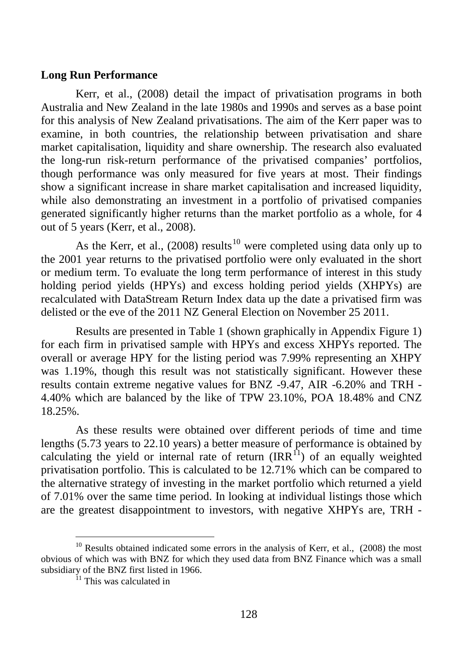#### **Long Run Performance**

Kerr, et al., [\(2008\)](#page-11-8) detail the impact of privatisation programs in both Australia and New Zealand in the late 1980s and 1990s and serves as a base point for this analysis of New Zealand privatisations. The aim of the Kerr paper was to examine, in both countries, the relationship between privatisation and share market capitalisation, liquidity and share ownership. The research also evaluated the long-run risk-return performance of the privatised companies' portfolios, though performance was only measured for five years at most. Their findings show a significant increase in share market capitalisation and increased liquidity, while also demonstrating an investment in a portfolio of privatised companies generated significantly higher returns than the market portfolio as a whole, for 4 out of 5 years [\(Kerr, et al., 2008\)](#page-11-8).

As the Kerr, et al., [\(2008\)](#page-11-8) results<sup>[10](#page-6-0)</sup> were completed using data only up to the 2001 year returns to the privatised portfolio were only evaluated in the short or medium term. To evaluate the long term performance of interest in this study holding period yields (HPYs) and excess holding period yields (XHPYs) are recalculated with DataStream Return Index data up the date a privatised firm was delisted or the eve of the 2011 NZ General Election on November 25 2011.

Results are presented in [Table 1](#page-13-0) (shown graphically in Appendix [Figure 1\)](#page-14-0) for each firm in privatised sample with HPYs and excess XHPYs reported. The overall or average HPY for the listing period was 7.99% representing an XHPY was 1.19%, though this result was not statistically significant. However these results contain extreme negative values for BNZ -9.47, AIR -6.20% and TRH - 4.40% which are balanced by the like of TPW 23.10%, POA 18.48% and CNZ 18.25%.

As these results were obtained over different periods of time and time lengths (5.73 years to 22.10 years) a better measure of performance is obtained by calculating the yield or internal rate of return  $\left( IRR^{11} \right)$  of an equally weighted privatisation portfolio. This is calculated to be 12.71% which can be compared to the alternative strategy of investing in the market portfolio which returned a yield of 7.01% over the same time period. In looking at individual listings those which are the greatest disappointment to investors, with negative XHPYs are, TRH -

<span id="page-6-0"></span> $10$  Results obtained indicated some errors in the analysis of [Kerr, et al.,](#page-11-7) [\(2008\)](#page-11-8) the most obvious of which was with BNZ for which they used data from BNZ Finance which was a small subsidiary of the BNZ first listed in 1966.<br><sup>11</sup> This was calculated in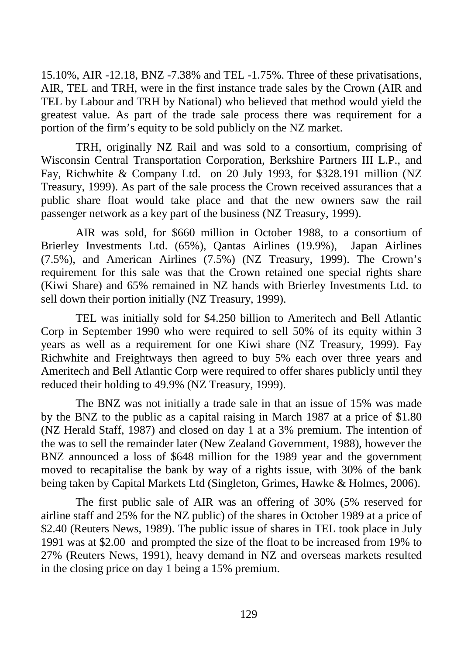15.10%, AIR -12.18, BNZ -7.38% and TEL -1.75%. Three of these privatisations, AIR, TEL and TRH, were in the first instance trade sales by the Crown (AIR and TEL by Labour and TRH by National) who believed that method would yield the greatest value. As part of the trade sale process there was requirement for a portion of the firm's equity to be sold publicly on the NZ market.

TRH, originally NZ Rail and was sold to a consortium, comprising of Wisconsin Central Transportation Corporation, Berkshire Partners III L.P., and Fay, Richwhite & Company Ltd. on 20 July 1993, for \$328.191 million [\(NZ](#page-11-3)  [Treasury, 1999\)](#page-11-3). As part of the sale process the Crown received assurances that a public share float would take place and that the new owners saw the rail passenger network as a key part of the business [\(NZ Treasury, 1999\)](#page-11-3).

AIR was sold, for \$660 million in October 1988, to a consortium of Brierley Investments Ltd. (65%), Qantas Airlines (19.9%), Japan Airlines (7.5%), and American Airlines (7.5%) [\(NZ Treasury, 1999\)](#page-11-3). The Crown's requirement for this sale was that the Crown retained one special rights share (Kiwi Share) and 65% remained in NZ hands with Brierley Investments Ltd. to sell down their portion initially [\(NZ Treasury, 1999\)](#page-11-3).

TEL was initially sold for \$4.250 billion to Ameritech and Bell Atlantic Corp in September 1990 who were required to sell 50% of its equity within 3 years as well as a requirement for one Kiwi share [\(NZ Treasury, 1999\)](#page-11-3). Fay Richwhite and Freightways then agreed to buy 5% each over three years and Ameritech and Bell Atlantic Corp were required to offer shares publicly until they reduced their holding to 49.9% [\(NZ Treasury, 1999\)](#page-11-3).

The BNZ was not initially a trade sale in that an issue of 15% was made by the BNZ to the public as a capital raising in March 1987 at a price of \$1.80 [\(NZ Herald Staff, 1987\)](#page-11-9) and closed on day 1 at a 3% premium. The intention of the was to sell the remainder later [\(New Zealand Government, 1988\)](#page-11-10), however the BNZ announced a loss of \$648 million for the 1989 year and the government moved to recapitalise the bank by way of a rights issue, with 30% of the bank being taken by Capital Markets Ltd [\(Singleton, Grimes, Hawke & Holmes, 2006\)](#page-12-2).

The first public sale of AIR was an offering of 30% (5% reserved for airline staff and 25% for the NZ public) of the shares in October 1989 at a price of \$2.40 [\(Reuters News, 1989\)](#page-12-3). The public issue of shares in TEL took place in July 1991 was at \$2.00 and prompted the size of the float to be increased from 19% to 27% [\(Reuters News, 1991\)](#page-12-4), heavy demand in NZ and overseas markets resulted in the closing price on day 1 being a 15% premium.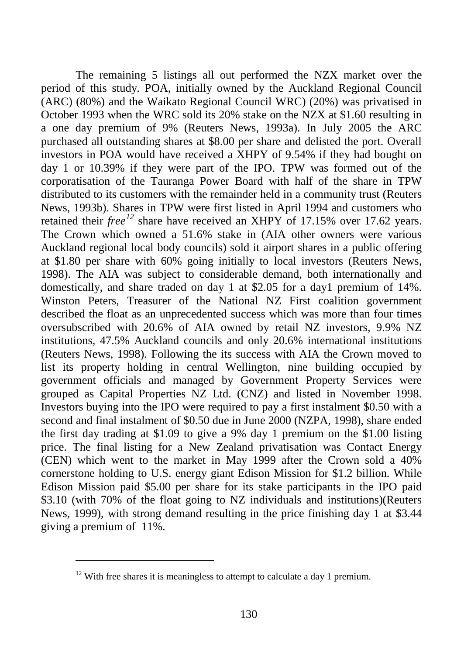The remaining 5 listings all out performed the NZX market over the period of this study. POA, initially owned by the Auckland Regional Council (ARC) (80%) and the Waikato Regional Council WRC) (20%) was privatised in October 1993 when the WRC sold its 20% stake on the NZX at \$1.60 resulting in a one day premium of 9% [\(Reuters News, 1993a\)](#page-12-5). In July 2005 the ARC purchased all outstanding shares at \$8.00 per share and delisted the port. Overall investors in POA would have received a XHPY of 9.54% if they had bought on day 1 or 10.39% if they were part of the IPO. TPW was formed out of the corporatisation of the Tauranga Power Board with half of the share in TPW distributed to its customers with the remainder held in a community trust [\(Reuters](#page-12-6)  [News, 1993b\)](#page-12-6). Shares in TPW were first listed in April 1994 and customers who retained their *free*<sup>[12](#page-8-0)</sup> share have received an XHPY of 17.15% over 17.62 years. The Crown which owned a 51.6% stake in (AIA other owners were various Auckland regional local body councils) sold it airport shares in a public offering at \$1.80 per share with 60% going initially to local investors [\(Reuters News,](#page-12-7)  [1998\)](#page-12-7). The AIA was subject to considerable demand, both internationally and domestically, and share traded on day 1 at \$2.05 for a day1 premium of 14%. Winston Peters, Treasurer of the National NZ First coalition government described the float as an unprecedented success which was more than four times oversubscribed with 20.6% of AIA owned by retail NZ investors, 9.9% NZ institutions, 47.5% Auckland councils and only 20.6% international institutions [\(Reuters News, 1998\)](#page-12-7). Following the its success with AIA the Crown moved to list its property holding in central Wellington, nine building occupied by government officials and managed by Government Property Services were grouped as Capital Properties NZ Ltd. (CNZ) and listed in November 1998. Investors buying into the IPO were required to pay a first instalment \$0.50 with a second and final instalment of \$0.50 due in June 2000 [\(NZPA, 1998\)](#page-11-11), share ended the first day trading at \$1.09 to give a 9% day 1 premium on the \$1.00 listing price. The final listing for a New Zealand privatisation was Contact Energy (CEN) which went to the market in May 1999 after the Crown sold a 40% cornerstone holding to U.S. energy giant Edison Mission for \$1.2 billion. While Edison Mission paid \$5.00 per share for its stake participants in the IPO paid \$3.10 (with 70% of the float going to NZ individuals and institutions)(Reuters [News, 1999\)](#page-12-8), with strong demand resulting in the price finishing day 1 at \$3.44 giving a premium of 11%.

<span id="page-8-0"></span> $12$  With free shares it is meaningless to attempt to calculate a day 1 premium.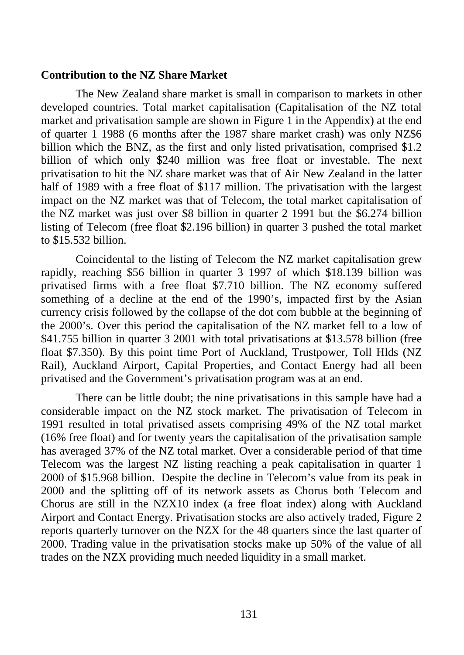#### **Contribution to the NZ Share Market**

The New Zealand share market is small in comparison to markets in other developed countries. Total market capitalisation (Capitalisation of the NZ total market and privatisation sample are shown in [Figure 1](#page-14-0) in the Appendix) at the end of quarter 1 1988 (6 months after the 1987 share market crash) was only NZ\$6 billion which the BNZ, as the first and only listed privatisation, comprised \$1.2 billion of which only \$240 million was free float or investable. The next privatisation to hit the NZ share market was that of Air New Zealand in the latter half of 1989 with a free float of \$117 million. The privatisation with the largest impact on the NZ market was that of Telecom, the total market capitalisation of the NZ market was just over \$8 billion in quarter 2 1991 but the \$6.274 billion listing of Telecom (free float \$2.196 billion) in quarter 3 pushed the total market to \$15.532 billion.

Coincidental to the listing of Telecom the NZ market capitalisation grew rapidly, reaching \$56 billion in quarter 3 1997 of which \$18.139 billion was privatised firms with a free float \$7.710 billion. The NZ economy suffered something of a decline at the end of the 1990's, impacted first by the Asian currency crisis followed by the collapse of the dot com bubble at the beginning of the 2000's. Over this period the capitalisation of the NZ market fell to a low of \$41.755 billion in quarter 3 2001 with total privatisations at \$13.578 billion (free float \$7.350). By this point time Port of Auckland, Trustpower, Toll Hlds (NZ Rail), Auckland Airport, Capital Properties, and Contact Energy had all been privatised and the Government's privatisation program was at an end.

There can be little doubt; the nine privatisations in this sample have had a considerable impact on the NZ stock market. The privatisation of Telecom in 1991 resulted in total privatised assets comprising 49% of the NZ total market (16% free float) and for twenty years the capitalisation of the privatisation sample has averaged 37% of the NZ total market. Over a considerable period of that time Telecom was the largest NZ listing reaching a peak capitalisation in quarter 1 2000 of \$15.968 billion. Despite the decline in Telecom's value from its peak in 2000 and the splitting off of its network assets as Chorus both Telecom and Chorus are still in the NZX10 index (a free float index) along with Auckland Airport and Contact Energy. Privatisation stocks are also actively traded, [Figure 2](#page-14-1) reports quarterly turnover on the NZX for the 48 quarters since the last quarter of 2000. Trading value in the privatisation stocks make up 50% of the value of all trades on the NZX providing much needed liquidity in a small market.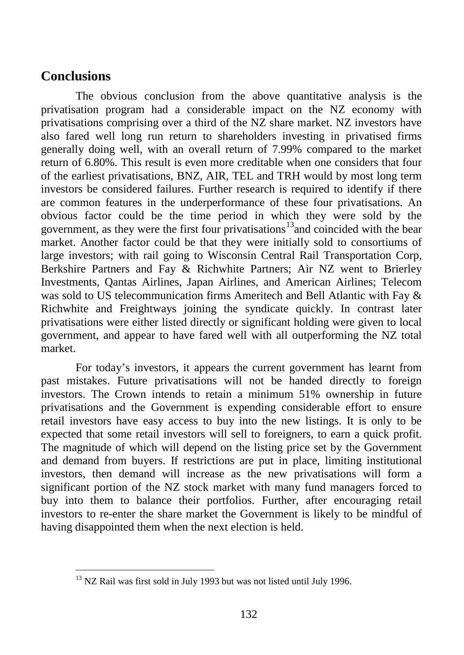## **Conclusions**

The obvious conclusion from the above quantitative analysis is the privatisation program had a considerable impact on the NZ economy with privatisations comprising over a third of the NZ share market. NZ investors have also fared well long run return to shareholders investing in privatised firms generally doing well, with an overall return of 7.99% compared to the market return of 6.80%. This result is even more creditable when one considers that four of the earliest privatisations, BNZ, AIR, TEL and TRH would by most long term investors be considered failures. Further research is required to identify if there are common features in the underperformance of these four privatisations. An obvious factor could be the time period in which they were sold by the government, as they were the first four privatisations<sup>13</sup> and coincided with the bear market. Another factor could be that they were initially sold to consortiums of large investors; with rail going to Wisconsin Central Rail Transportation Corp, Berkshire Partners and Fay & Richwhite Partners; Air NZ went to Brierley Investments, Qantas Airlines, Japan Airlines, and American Airlines; Telecom was sold to US telecommunication firms Ameritech and Bell Atlantic with Fay & Richwhite and Freightways joining the syndicate quickly. In contrast later privatisations were either listed directly or significant holding were given to local government, and appear to have fared well with all outperforming the NZ total market.

For today's investors, it appears the current government has learnt from past mistakes. Future privatisations will not be handed directly to foreign investors. The Crown intends to retain a minimum 51% ownership in future privatisations and the Government is expending considerable effort to ensure retail investors have easy access to buy into the new listings. It is only to be expected that some retail investors will sell to foreigners, to earn a quick profit. The magnitude of which will depend on the listing price set by the Government and demand from buyers. If restrictions are put in place, limiting institutional investors, then demand will increase as the new privatisations will form a significant portion of the NZ stock market with many fund managers forced to buy into them to balance their portfolios. Further, after encouraging retail investors to re-enter the share market the Government is likely to be mindful of having disappointed them when the next election is held.

<span id="page-10-0"></span> $13$  NZ Rail was first sold in July 1993 but was not listed until July 1996.  $\overline{a}$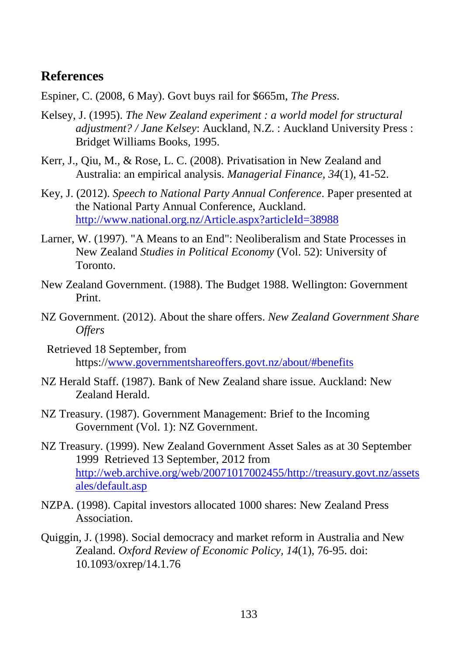## **References**

<span id="page-11-4"></span>Espiner, C. (2008, 6 May). Govt buys rail for \$665m, *The Press*.

- <span id="page-11-0"></span>Kelsey, J. (1995). *The New Zealand experiment : a world model for structural adjustment? / Jane Kelsey*: Auckland, N.Z. : Auckland University Press : Bridget Williams Books, 1995.
- <span id="page-11-8"></span>Kerr, J., Qiu, M., & Rose, L. C. (2008). Privatisation in New Zealand and Australia: an empirical analysis. *Managerial Finance, 34*(1), 41-52.
- <span id="page-11-7"></span>Key, J. (2012). *Speech to National Party Annual Conference*. Paper presented at the National Party Annual Conference, Auckland. <http://www.national.org.nz/Article.aspx?articleId=38988>
- <span id="page-11-1"></span>Larner, W. (1997). "A Means to an End": Neoliberalism and State Processes in New Zealand *Studies in Political Economy* (Vol. 52): University of Toronto.
- <span id="page-11-10"></span>New Zealand Government. (1988). The Budget 1988. Wellington: Government Print.
- <span id="page-11-6"></span>NZ Government. (2012). About the share offers. *New Zealand Government Share Offers*
- Retrieved 18 September, from https:/[/www.governmentshareoffers.govt.nz/about/#benefits](http://www.governmentshareoffers.govt.nz/about/%23benefits)
- <span id="page-11-9"></span>NZ Herald Staff. (1987). Bank of New Zealand share issue. Auckland: New Zealand Herald.
- <span id="page-11-2"></span>NZ Treasury. (1987). Government Management: Brief to the Incoming Government (Vol. 1): NZ Government.
- <span id="page-11-3"></span>NZ Treasury. (1999). New Zealand Government Asset Sales as at 30 September 1999 Retrieved 13 September, 2012 from [http://web.archive.org/web/20071017002455/http://treasury.govt.nz/assets](http://web.archive.org/web/20071017002455/http:/treasury.govt.nz/assetsales/default.asp) [ales/default.asp](http://web.archive.org/web/20071017002455/http:/treasury.govt.nz/assetsales/default.asp)
- <span id="page-11-11"></span>NZPA. (1998). Capital investors allocated 1000 shares: New Zealand Press Association.
- <span id="page-11-5"></span>Quiggin, J. (1998). Social democracy and market reform in Australia and New Zealand. *Oxford Review of Economic Policy, 14*(1), 76-95. doi: 10.1093/oxrep/14.1.76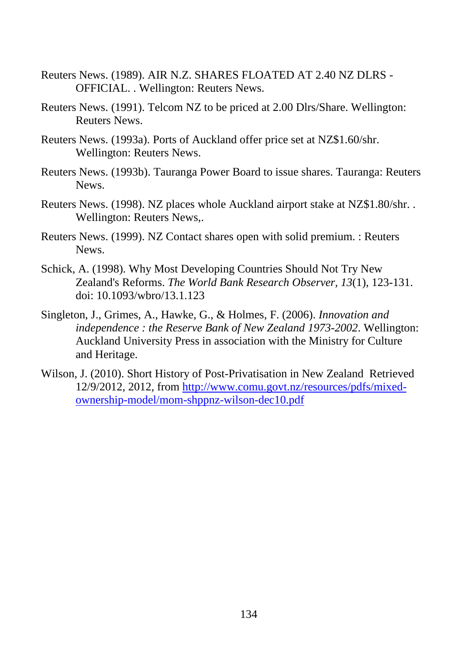- <span id="page-12-3"></span>Reuters News. (1989). AIR N.Z. SHARES FLOATED AT 2.40 NZ DLRS - OFFICIAL. . Wellington: Reuters News.
- <span id="page-12-4"></span>Reuters News. (1991). Telcom NZ to be priced at 2.00 Dlrs/Share. Wellington: Reuters News.
- <span id="page-12-5"></span>Reuters News. (1993a). Ports of Auckland offer price set at NZ\$1.60/shr. Wellington: Reuters News.
- <span id="page-12-6"></span>Reuters News. (1993b). Tauranga Power Board to issue shares. Tauranga: Reuters News.
- <span id="page-12-7"></span>Reuters News. (1998). NZ places whole Auckland airport stake at NZ\$1.80/shr. . Wellington: Reuters News,.
- <span id="page-12-8"></span>Reuters News. (1999). NZ Contact shares open with solid premium. : Reuters News.
- <span id="page-12-1"></span>Schick, A. (1998). Why Most Developing Countries Should Not Try New Zealand's Reforms. *The World Bank Research Observer, 13*(1), 123-131. doi: 10.1093/wbro/13.1.123
- <span id="page-12-2"></span>Singleton, J., Grimes, A., Hawke, G., & Holmes, F. (2006). *Innovation and independence : the Reserve Bank of New Zealand 1973-2002*. Wellington: Auckland University Press in association with the Ministry for Culture and Heritage.
- <span id="page-12-0"></span>Wilson, J. (2010). Short History of Post-Privatisation in New Zealand Retrieved 12/9/2012, 2012, from [http://www.comu.govt.nz/resources/pdfs/mixed](http://www.comu.govt.nz/resources/pdfs/mixed-ownership-model/mom-shppnz-wilson-dec10.pdf)[ownership-model/mom-shppnz-wilson-dec10.pdf](http://www.comu.govt.nz/resources/pdfs/mixed-ownership-model/mom-shppnz-wilson-dec10.pdf)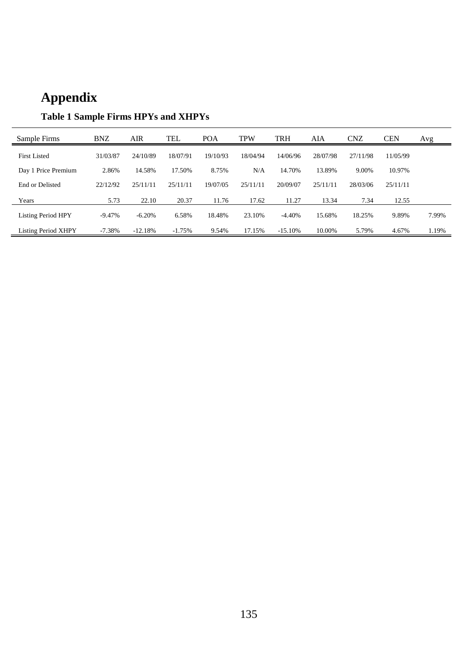# **Appendix**

| Sample Firms        | <b>BNZ</b> | AIR      | TEL      | <b>POA</b> | <b>TPW</b> | <b>TRH</b> | AIA      | <b>CNZ</b> | <b>CEN</b> | Avg   |
|---------------------|------------|----------|----------|------------|------------|------------|----------|------------|------------|-------|
| First Listed        | 31/03/87   | 24/10/89 | 18/07/91 | 19/10/93   | 18/04/94   | 14/06/96   | 28/07/98 | 27/11/98   | 11/05/99   |       |
| Day 1 Price Premium | 2.86%      | 14.58%   | 17.50%   | 8.75%      | N/A        | 14.70%     | 13.89%   | 9.00%      | 10.97%     |       |
| End or Delisted     | 22/12/92   | 25/11/11 | 25/11/11 | 19/07/05   | 25/11/11   | 20/09/07   | 25/11/11 | 28/03/06   | 25/11/11   |       |
| Years               | 5.73       | 22.10    | 20.37    | 11.76      | 17.62      | 11.27      | 13.34    | 7.34       | 12.55      |       |
| Listing Period HPY  | $-9.47%$   | $-6.20%$ | 6.58%    | 18.48%     | 23.10%     | $-4.40%$   | 15.68%   | 18.25%     | 9.89%      | 7.99% |
|                     |            |          |          |            |            |            |          |            |            |       |

Listing Period XHPY -7.38% -12.18% -1.75% 9.54% 17.15% -15.10% 10.00% 5.79% 4.67% 1.19%

### <span id="page-13-0"></span>**Table 1 Sample Firms HPYs and XHPYs**